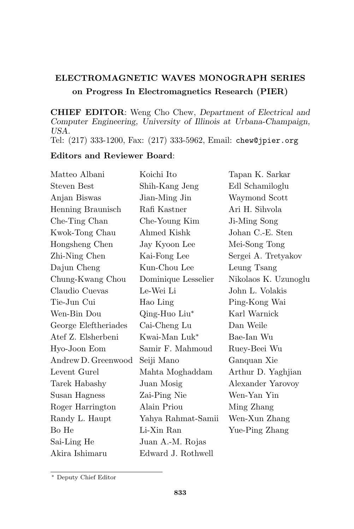## ELECTROMAGNETIC WAVES MONOGRAPH SERIES on Progress In Electromagnetics Research (PIER)

CHIEF EDITOR: Weng Cho Chew, Department of Electrical and Computer Engineering, University of Illinois at Urbana-Champaign, USA.

Tel: (217) 333-1200, Fax: (217) 333-5962, Email: chew@jpier.org

## Editors and Reviewer Board:

| Matteo Albani        | Koichi Ito                | Tapan K. Sarkar      |
|----------------------|---------------------------|----------------------|
| Steven Best          | Shih-Kang Jeng            | Edl Schamiloglu      |
| Anjan Biswas         | Jian-Ming Jin             | Waymond Scott        |
| Henning Braunisch    | Rafi Kastner              | Ari H. Sihvola       |
| Che-Ting Chan        | Che-Young Kim             | Ji-Ming Song         |
| Kwok-Tong Chau       | Ahmed Kishk               | Johan C.-E. Sten     |
| Hongsheng Chen       | Jay Kyoon Lee             | Mei-Song Tong        |
| Zhi-Ning Chen        | Kai-Fong Lee              | Sergei A. Tretyakov  |
| Dajun Cheng          | Kun-Chou Lee              | Leung Tsang          |
| Chung-Kwang Chou     | Dominique Lesselier       | Nikolaos K. Uzunoglu |
| Claudio Cuevas       | Le-Wei Li                 | John L. Volakis      |
| Tie-Jun Cui          | Hao Ling                  | Ping-Kong Wai        |
| Wen-Bin Dou          | Qing-Huo Liu*             | Karl Warnick         |
| George Eleftheriades | Cai-Cheng Lu              | Dan Weile            |
| Atef Z. Elsherbeni   | Kwai-Man Luk <sup>*</sup> | Bae-Ian Wu           |
| Hyo-Joon Eom         | Samir F. Mahmoud          | Ruey-Beei Wu         |
| Andrew D. Greenwood  | Seiji Mano                | Ganquan Xie          |
| Levent Gurel         | Mahta Moghaddam           | Arthur D. Yaghjian   |
| Tarek Habashy        | Juan Mosig                | Alexander Yarovoy    |
| Susan Hagness        | Zai-Ping Nie              | Wen-Yan Yin          |
| Roger Harrington     | Alain Priou               | Ming Zhang           |
| Randy L. Haupt       | Yahya Rahmat-Samii        | Wen-Xun Zhang        |
| Bo He                | Li-Xin Ran                | Yue-Ping Zhang       |
| Sai-Ling He          | Juan A.-M. Rojas          |                      |
| Akira Ishimaru       | Edward J. Rothwell        |                      |

<sup>∗</sup> Deputy Chief Editor